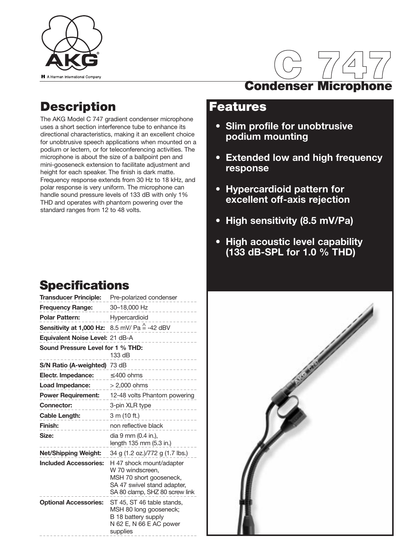



### **Description**

The AKG Model C 747 gradient condenser microphone uses a short section interference tube to enhance its directional characteristics, making it an excellent choice for unobtrusive speech applications when mounted on a podium or lectern, or for teleconferencing activities. The microphone is about the size of a ballpoint pen and mini-gooseneck extension to facilitate adjustment and height for each speaker. The finish is dark matte. Frequency response extends from 30 Hz to 18 kHz, and polar response is very uniform. The microphone can handle sound pressure levels of 133 dB with only 1% THD and operates with phantom powering over the standard ranges from 12 to 48 volts.

### **Features**

- **Slim profile for unobtrusive podium mounting**
- **Extended low and high frequency response**
- **Hypercardioid pattern for excellent off-axis rejection**
- **High sensitivity (8.5 mV/Pa)**
- **High acoustic level capability (133 dB-SPL for 1.0 % THD)**

## **Specifications**

| <b>Transducer Principle:</b>                                              | Pre-polarized condenser                                                                                                                  |
|---------------------------------------------------------------------------|------------------------------------------------------------------------------------------------------------------------------------------|
| <b>Frequency Range:</b>                                                   | 30-18,000 Hz<br>$- - - - - -$                                                                                                            |
| Polar Pattern:                                                            | Hypercardioid<br>--------                                                                                                                |
| <b>Sensitivity at 1,000 Hz:</b> 8.5 mV/ Pa $\stackrel{\wedge}{=}$ -42 dBV |                                                                                                                                          |
| Equivalent Noise Level: 21 dB-A                                           |                                                                                                                                          |
| Sound Pressure Level for 1 % THD:                                         | 133 dB<br>.                                                                                                                              |
| S/N Ratio (A-weighted) 73 dB                                              |                                                                                                                                          |
| <b>Electr. Impedance:</b> $\leq 400$ ohms                                 | .                                                                                                                                        |
| <b>Load Impedance:</b> $>2,000$ ohms                                      |                                                                                                                                          |
|                                                                           | <b>Power Requirement:</b> 12-48 volts Phantom powering                                                                                   |
| <b>Connector:</b>                                                         | 3-pin XLR type                                                                                                                           |
| Cable Length:                                                             | 3 m (10 ft.)                                                                                                                             |
| Finish:                                                                   | non reflective black                                                                                                                     |
| Size:                                                                     | dia 9 mm (0.4 in.),<br>length 135 mm (5.3 in.)                                                                                           |
| Net/Shipping Weight:                                                      | 34 g (1.2 oz.)/772 g (1.7 lbs.)                                                                                                          |
| <b>Included Accessories:</b>                                              | H 47 shock mount/adapter<br>W 70 windscreen.<br>MSH 70 short gooseneck,<br>SA 47 swivel stand adapter,<br>SA 80 clamp, SHZ 80 screw link |
| <b>Optional Accessories:</b>                                              | ST 45, ST 46 table stands,<br>MSH 80 long gooseneck;<br>B 18 battery supply<br>N 62 E, N 66 E AC power<br>supplies<br>-----------        |